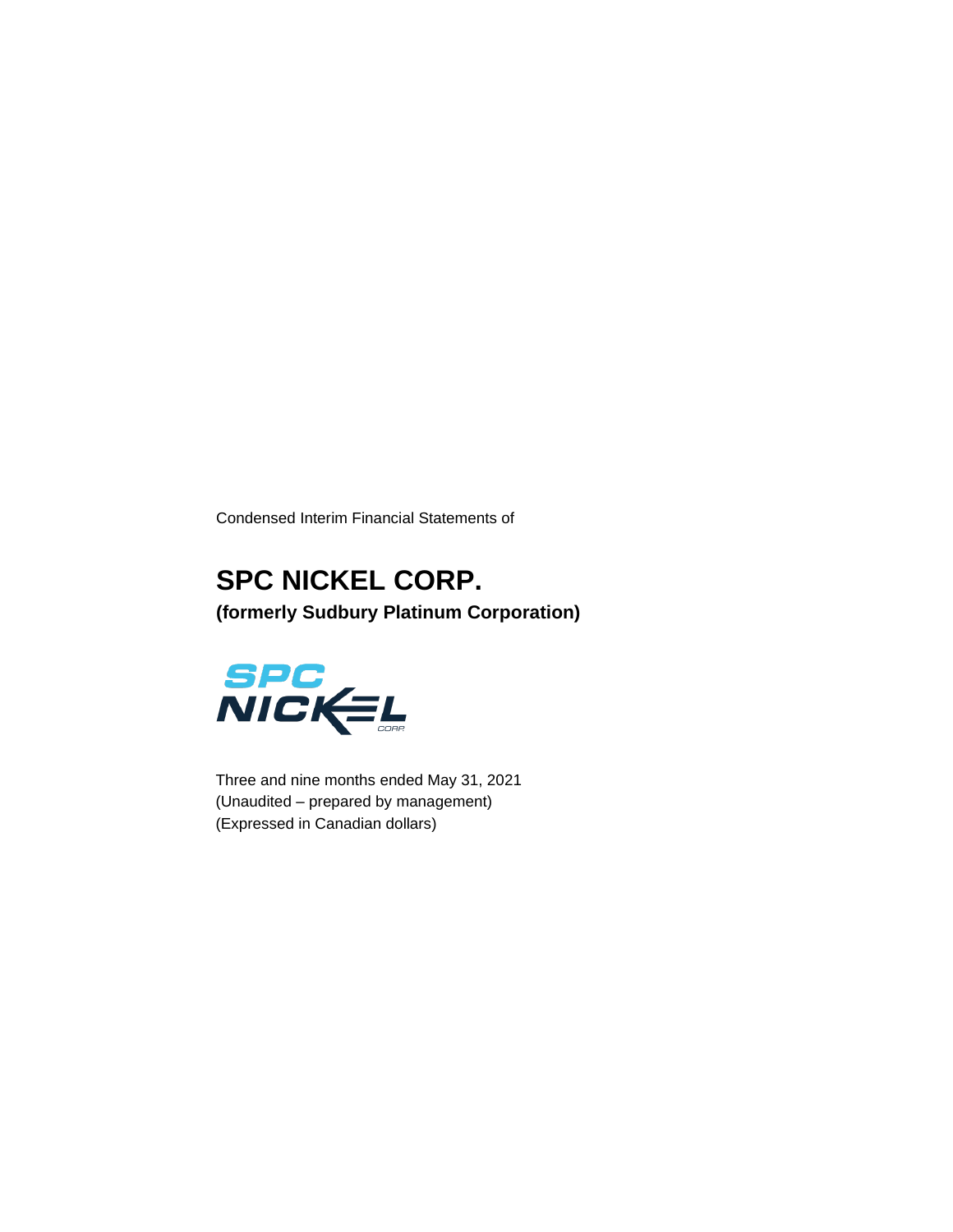Condensed Interim Financial Statements of

# **SPC NICKEL CORP. (formerly Sudbury Platinum Corporation)**



Three and nine months ended May 31, 2021 (Unaudited – prepared by management) (Expressed in Canadian dollars)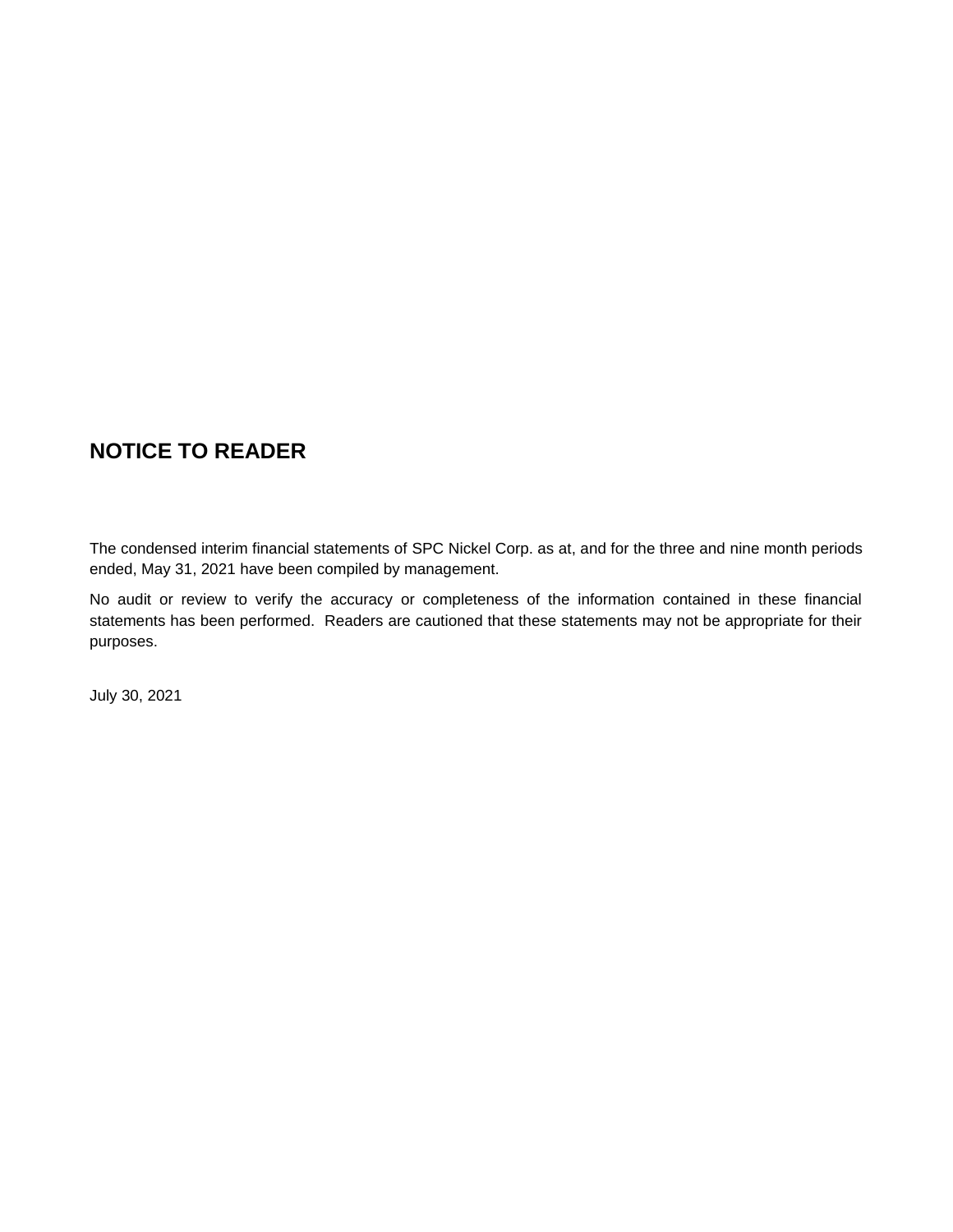# **NOTICE TO READER**

The condensed interim financial statements of SPC Nickel Corp. as at, and for the three and nine month periods ended, May 31, 2021 have been compiled by management.

No audit or review to verify the accuracy or completeness of the information contained in these financial statements has been performed. Readers are cautioned that these statements may not be appropriate for their purposes.

July 30, 2021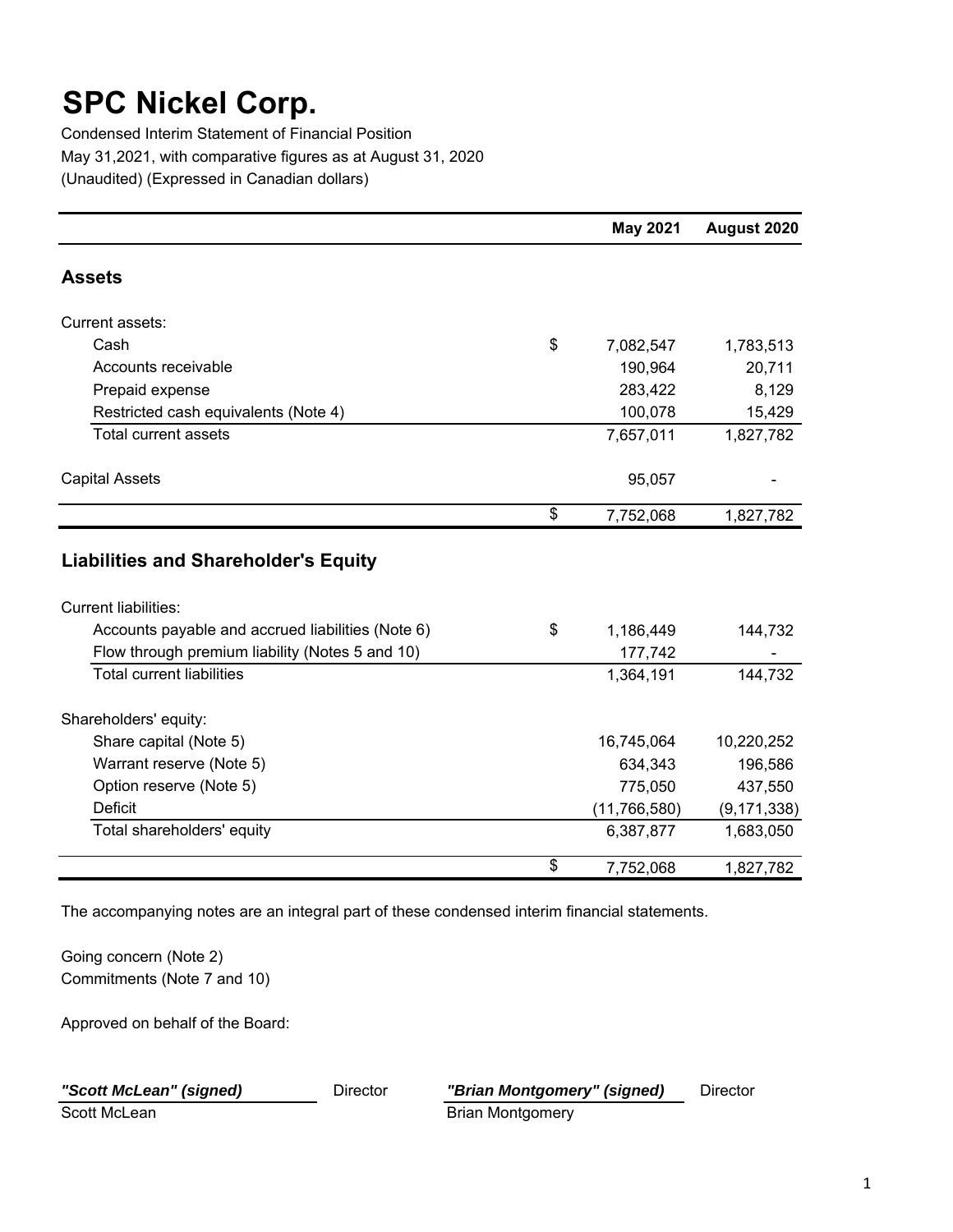Condensed Interim Statement of Financial Position May 31,2021, with comparative figures as at August 31, 2020 (Unaudited) (Expressed in Canadian dollars)

|                                                   | <b>May 2021</b> | August 2020   |
|---------------------------------------------------|-----------------|---------------|
| <b>Assets</b>                                     |                 |               |
| Current assets:                                   |                 |               |
| Cash                                              | \$<br>7,082,547 | 1,783,513     |
| Accounts receivable                               | 190,964         | 20,711        |
| Prepaid expense                                   | 283,422         | 8,129         |
| Restricted cash equivalents (Note 4)              | 100,078         | 15,429        |
| <b>Total current assets</b>                       | 7,657,011       | 1,827,782     |
| <b>Capital Assets</b>                             | 95,057          |               |
|                                                   | \$<br>7,752,068 | 1,827,782     |
| <b>Liabilities and Shareholder's Equity</b>       |                 |               |
| <b>Current liabilities:</b>                       |                 |               |
| Accounts payable and accrued liabilities (Note 6) | \$<br>1,186,449 | 144,732       |
| Flow through premium liability (Notes 5 and 10)   | 177,742         |               |
| <b>Total current liabilities</b>                  | 1,364,191       | 144,732       |
| Shareholders' equity:                             |                 |               |
| Share capital (Note 5)                            | 16,745,064      | 10,220,252    |
| Warrant reserve (Note 5)                          | 634,343         | 196,586       |
| Option reserve (Note 5)                           | 775,050         | 437,550       |
| <b>Deficit</b>                                    | (11, 766, 580)  | (9, 171, 338) |
| Total shareholders' equity                        | 6,387,877       | 1,683,050     |
|                                                   | \$<br>7,752,068 | 1,827,782     |

The accompanying notes are an integral part of these condensed interim financial statements.

Going concern (Note 2) Commitments (Note 7 and 10)

Approved on behalf of the Board:

# *"Scott McLean" (signed)* Director *"Brian Montgomery" (signed)* Director Scott McLean Brian Montgomery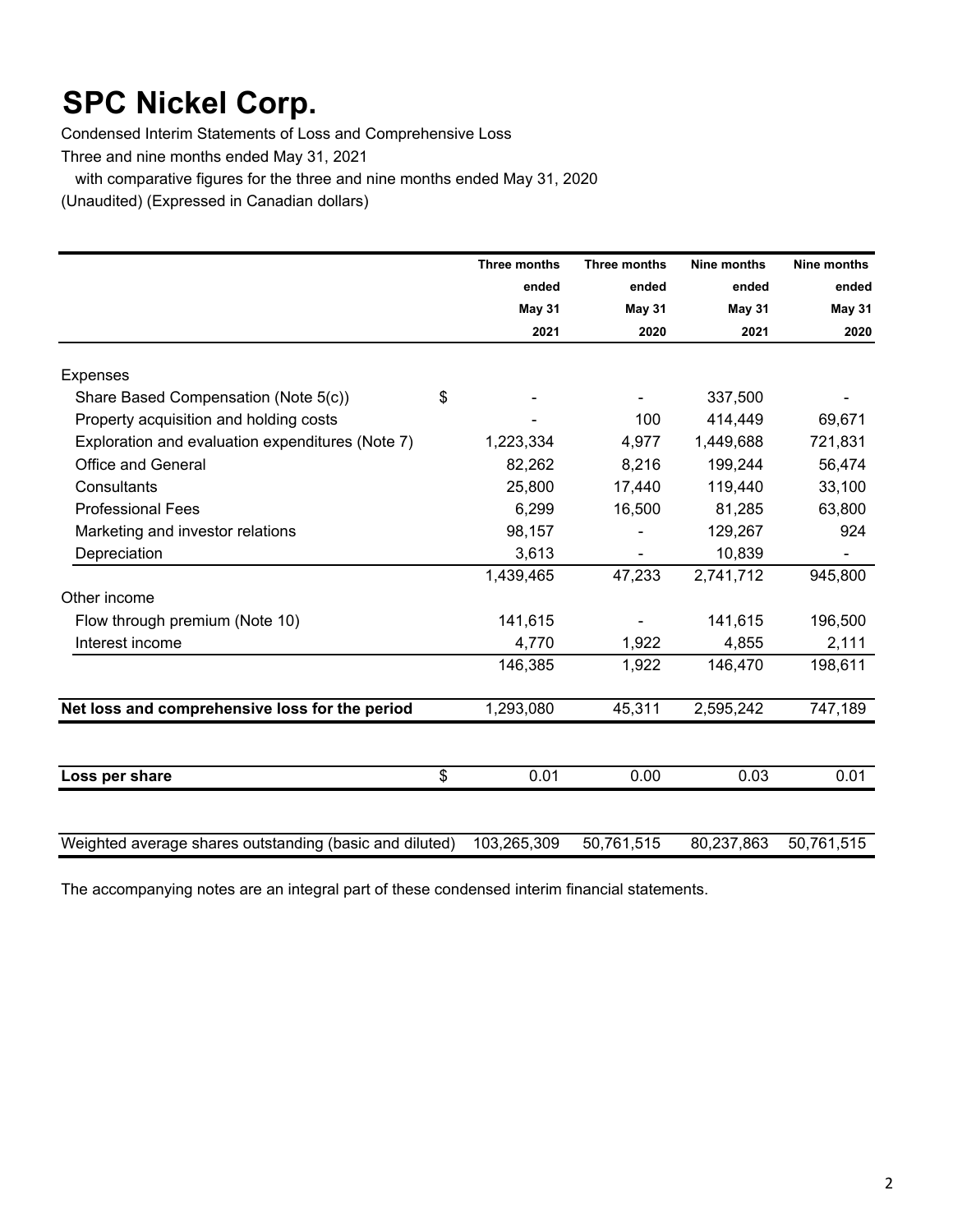Condensed Interim Statements of Loss and Comprehensive Loss

Three and nine months ended May 31, 2021

with comparative figures for the three and nine months ended May 31, 2020

(Unaudited) (Expressed in Canadian dollars)

|                                                         | Three months  | Three months | Nine months   | Nine months |
|---------------------------------------------------------|---------------|--------------|---------------|-------------|
|                                                         | ended         | ended        | ended         | ended       |
|                                                         | <b>May 31</b> | May 31       | <b>May 31</b> | May 31      |
|                                                         | 2021          | 2020         | 2021          | 2020        |
| <b>Expenses</b>                                         |               |              |               |             |
| \$<br>Share Based Compensation (Note 5(c))              |               |              | 337,500       |             |
| Property acquisition and holding costs                  |               | 100          | 414,449       | 69,671      |
| Exploration and evaluation expenditures (Note 7)        | 1,223,334     | 4,977        | 1,449,688     | 721,831     |
| Office and General                                      | 82,262        | 8,216        | 199,244       | 56,474      |
| Consultants                                             | 25,800        | 17,440       | 119,440       | 33,100      |
| <b>Professional Fees</b>                                | 6,299         | 16,500       | 81,285        | 63,800      |
| Marketing and investor relations                        | 98,157        |              | 129,267       | 924         |
| Depreciation                                            | 3,613         |              | 10,839        |             |
|                                                         | 1,439,465     | 47,233       | 2,741,712     | 945,800     |
| Other income                                            |               |              |               |             |
| Flow through premium (Note 10)                          | 141,615       |              | 141,615       | 196,500     |
| Interest income                                         | 4,770         | 1,922        | 4,855         | 2,111       |
|                                                         | 146,385       | 1,922        | 146,470       | 198,611     |
| Net loss and comprehensive loss for the period          | 1,293,080     | 45,311       | 2,595,242     | 747,189     |
|                                                         |               |              |               |             |
| \$<br>Loss per share                                    | 0.01          | 0.00         | 0.03          | 0.01        |
|                                                         |               |              |               |             |
| Weighted average shares outstanding (basic and diluted) | 103,265,309   | 50,761,515   | 80,237,863    | 50,761,515  |

The accompanying notes are an integral part of these condensed interim financial statements.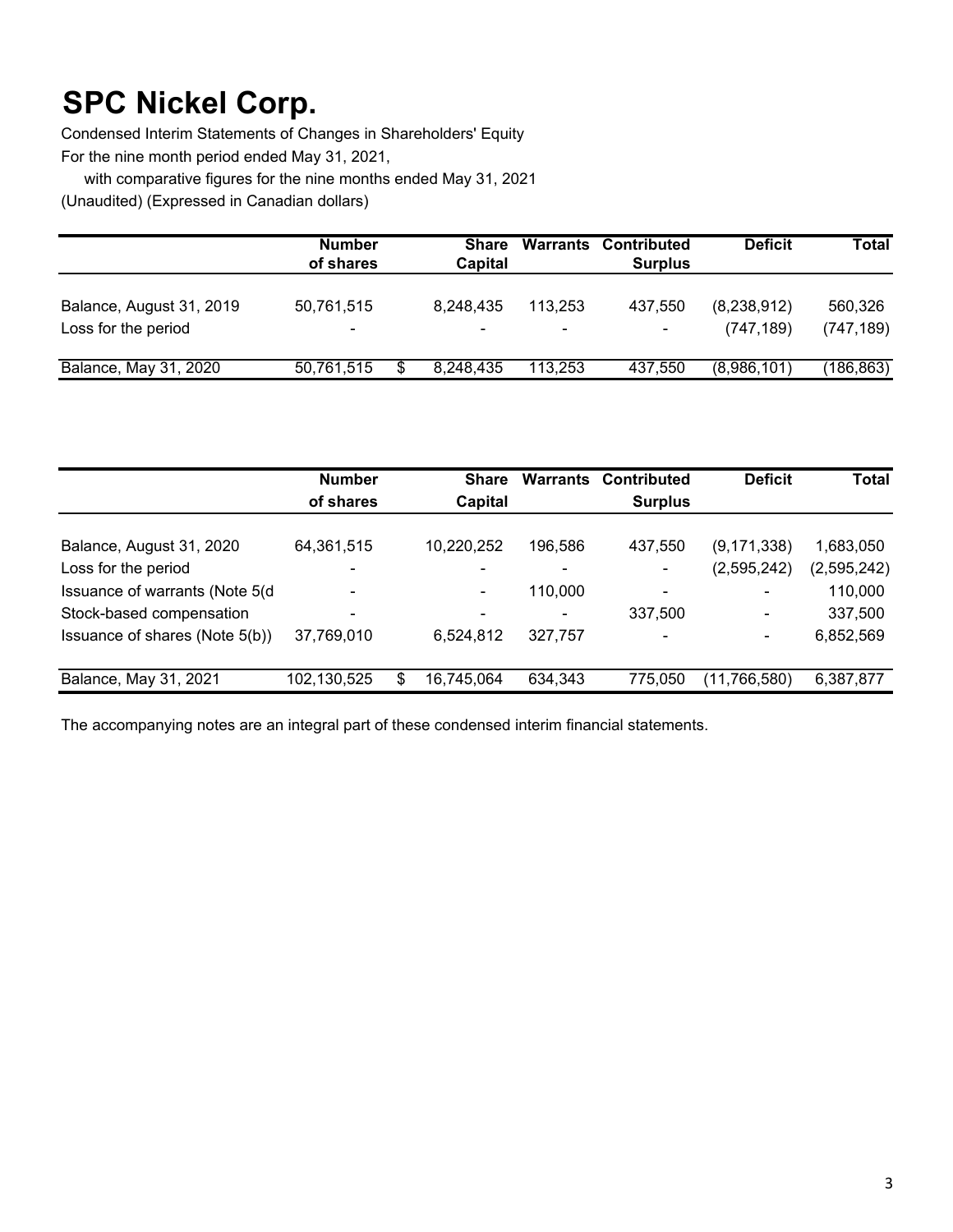Condensed Interim Statements of Changes in Shareholders' Equity For the nine month period ended May 31, 2021,

with comparative figures for the nine months ended May 31, 2021

(Unaudited) (Expressed in Canadian dollars)

|                                                 | <b>Number</b><br>of shares | <b>Share</b><br>Capital |                                     | <b>Warrants Contributed</b><br><b>Surplus</b> | <b>Deficit</b>            | Total                 |
|-------------------------------------------------|----------------------------|-------------------------|-------------------------------------|-----------------------------------------------|---------------------------|-----------------------|
| Balance, August 31, 2019<br>Loss for the period | 50,761,515<br>۰            | 8.248.435               | 113.253<br>$\overline{\phantom{0}}$ | 437.550<br>$\blacksquare$                     | (8,238,912)<br>(747, 189) | 560,326<br>(747, 189) |
| Balance, May 31, 2020                           | 50,761,515                 | 8,248,435               | 113.253                             | 437.550                                       | (8,986,101)               | (186,863)             |

|                                 | <b>Number</b><br>of shares |   | <b>Share</b><br>Capital | <b>Warrants</b> | <b>Contributed</b><br><b>Surplus</b> | <b>Deficit</b> | <b>Total</b> |
|---------------------------------|----------------------------|---|-------------------------|-----------------|--------------------------------------|----------------|--------------|
| Balance, August 31, 2020        | 64,361,515                 |   | 10,220,252              | 196,586         | 437,550                              | (9, 171, 338)  | 1,683,050    |
| Loss for the period             | $\blacksquare$             |   |                         | $\blacksquare$  | $\blacksquare$                       | (2,595,242)    | (2,595,242)  |
| Issuance of warrants (Note 5(d) | $\blacksquare$             |   |                         | 110.000         | $\blacksquare$                       | ۰              | 110,000      |
| Stock-based compensation        | $\overline{\phantom{a}}$   |   |                         |                 | 337,500                              | $\blacksquare$ | 337,500      |
| Issuance of shares (Note 5(b))  | 37,769,010                 |   | 6,524,812               | 327,757         | $\overline{\phantom{a}}$             | ۰              | 6,852,569    |
| Balance, May 31, 2021           | 102,130,525                | S | 16,745,064              | 634,343         | 775.050                              | (11, 766, 580) | 6,387,877    |

The accompanying notes are an integral part of these condensed interim financial statements.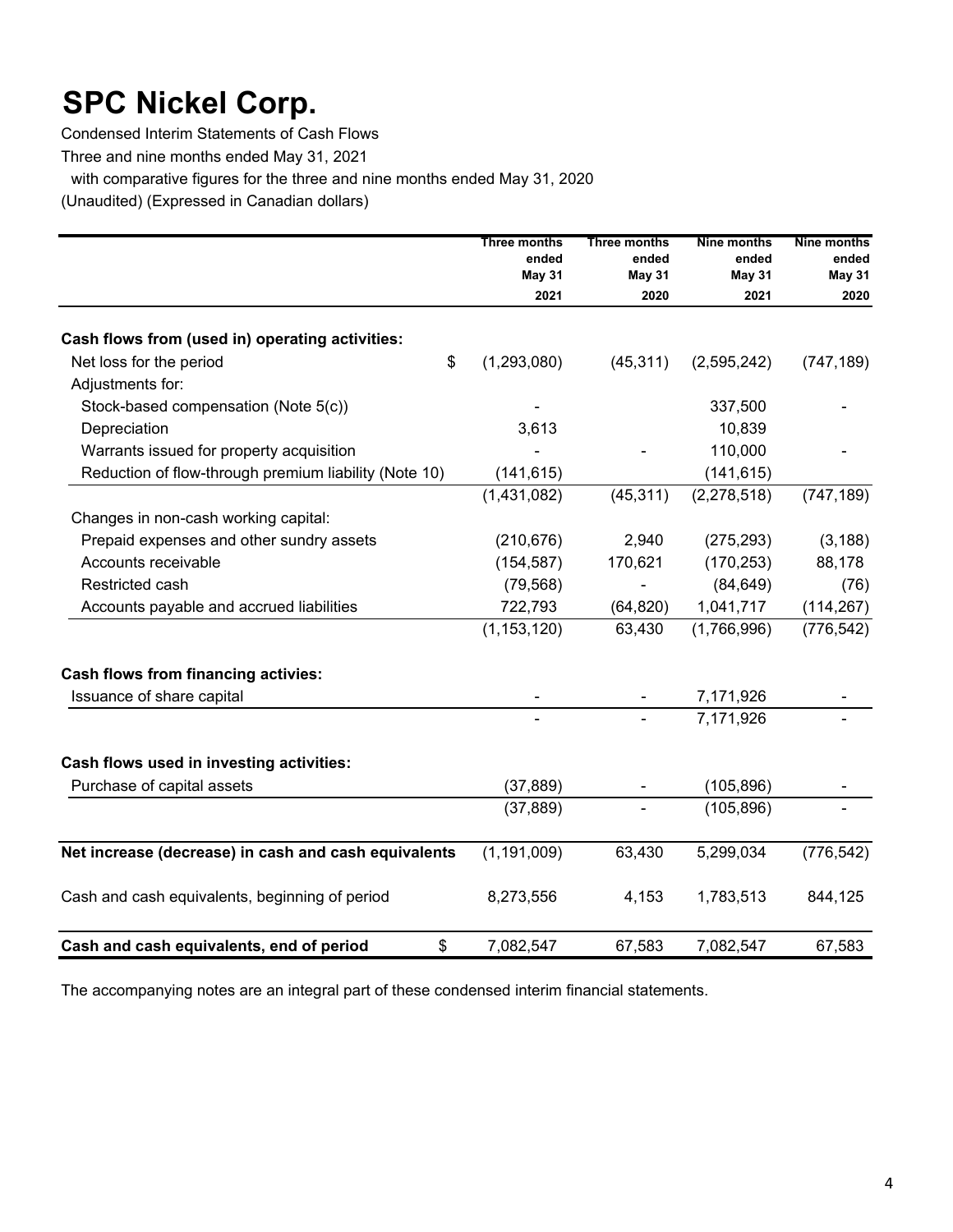Condensed Interim Statements of Cash Flows

Three and nine months ended May 31, 2021

with comparative figures for the three and nine months ended May 31, 2020

(Unaudited) (Expressed in Canadian dollars)

|                                                       | Three months<br>ended<br><b>May 31</b> | Three months<br>ended<br><b>May 31</b> | <b>Nine months</b><br>ended<br><b>May 31</b> | Nine months<br>ended<br><b>May 31</b> |
|-------------------------------------------------------|----------------------------------------|----------------------------------------|----------------------------------------------|---------------------------------------|
|                                                       | 2021                                   | 2020                                   | 2021                                         | 2020                                  |
| Cash flows from (used in) operating activities:       |                                        |                                        |                                              |                                       |
| \$<br>Net loss for the period                         | (1, 293, 080)                          | (45, 311)                              | (2,595,242)                                  | (747, 189)                            |
| Adjustments for:                                      |                                        |                                        |                                              |                                       |
| Stock-based compensation (Note 5(c))                  |                                        |                                        | 337,500                                      |                                       |
| Depreciation                                          | 3,613                                  |                                        | 10,839                                       |                                       |
| Warrants issued for property acquisition              |                                        |                                        | 110,000                                      |                                       |
| Reduction of flow-through premium liability (Note 10) | (141, 615)                             |                                        | (141, 615)                                   |                                       |
|                                                       | (1,431,082)                            | (45, 311)                              | (2, 278, 518)                                | (747, 189)                            |
| Changes in non-cash working capital:                  |                                        |                                        |                                              |                                       |
| Prepaid expenses and other sundry assets              | (210, 676)                             | 2,940                                  | (275, 293)                                   | (3, 188)                              |
| Accounts receivable                                   | (154, 587)                             | 170,621                                | (170, 253)                                   | 88,178                                |
| Restricted cash                                       | (79, 568)                              |                                        | (84, 649)                                    | (76)                                  |
| Accounts payable and accrued liabilities              | 722,793                                | (64, 820)                              | 1,041,717                                    | (114, 267)                            |
|                                                       | (1, 153, 120)                          | 63,430                                 | (1,766,996)                                  | (776, 542)                            |
| <b>Cash flows from financing activies:</b>            |                                        |                                        |                                              |                                       |
| Issuance of share capital                             |                                        |                                        | 7,171,926                                    |                                       |
|                                                       |                                        |                                        | 7,171,926                                    |                                       |
| Cash flows used in investing activities:              |                                        |                                        |                                              |                                       |
| Purchase of capital assets                            | (37, 889)                              |                                        | (105, 896)                                   |                                       |
|                                                       | (37, 889)                              |                                        | (105, 896)                                   |                                       |
| Net increase (decrease) in cash and cash equivalents  | (1, 191, 009)                          | 63,430                                 | 5,299,034                                    | (776, 542)                            |
| Cash and cash equivalents, beginning of period        | 8,273,556                              | 4,153                                  | 1,783,513                                    | 844,125                               |
| Cash and cash equivalents, end of period<br>\$        | 7,082,547                              | 67,583                                 | 7,082,547                                    | 67,583                                |

The accompanying notes are an integral part of these condensed interim financial statements.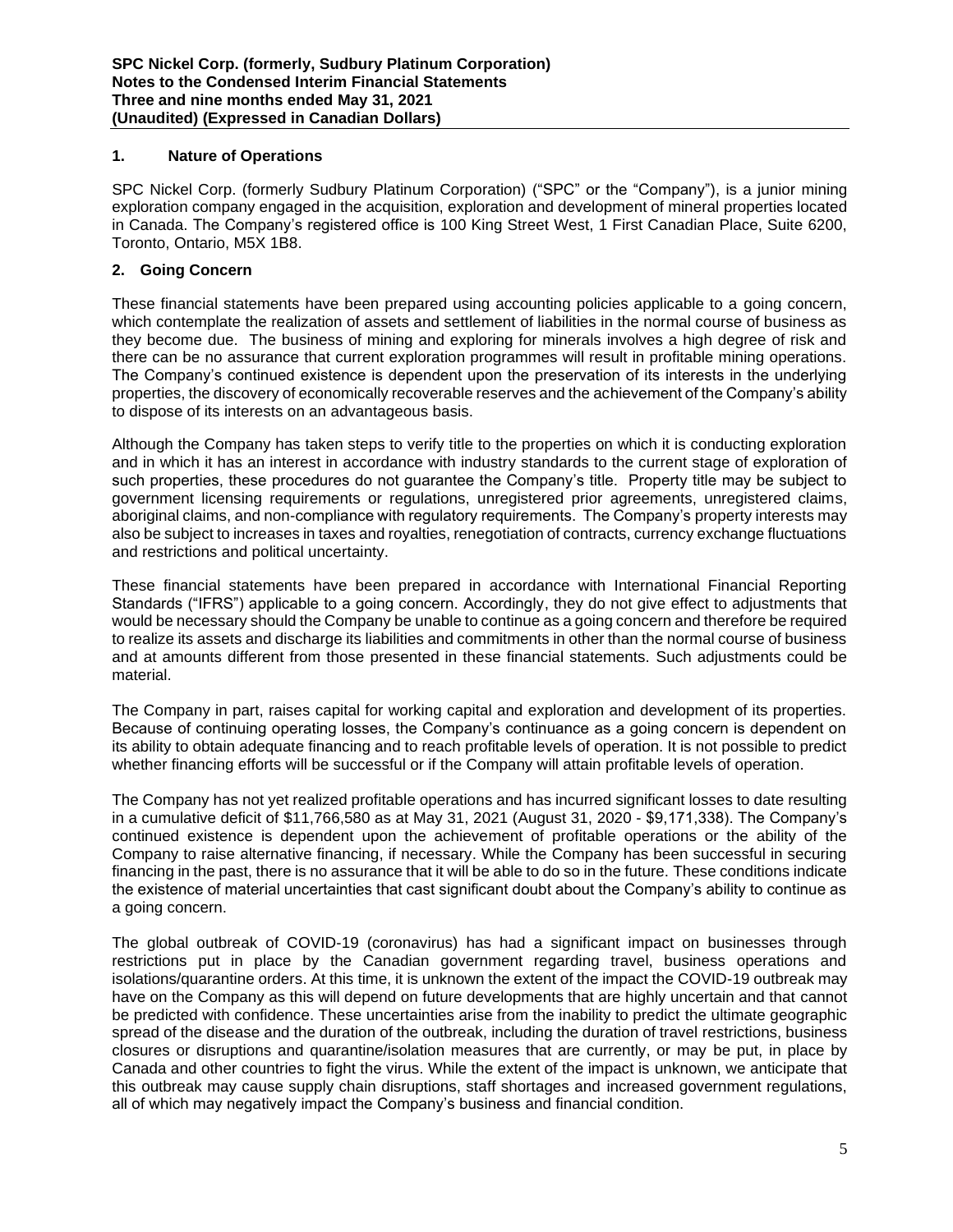# **1. Nature of Operations**

SPC Nickel Corp. (formerly Sudbury Platinum Corporation) ("SPC" or the "Company"), is a junior mining exploration company engaged in the acquisition, exploration and development of mineral properties located in Canada. The Company's registered office is 100 King Street West, 1 First Canadian Place, Suite 6200, Toronto, Ontario, M5X 1B8.

# **2. Going Concern**

These financial statements have been prepared using accounting policies applicable to a going concern, which contemplate the realization of assets and settlement of liabilities in the normal course of business as they become due. The business of mining and exploring for minerals involves a high degree of risk and there can be no assurance that current exploration programmes will result in profitable mining operations. The Company's continued existence is dependent upon the preservation of its interests in the underlying properties, the discovery of economically recoverable reserves and the achievement of the Company's ability to dispose of its interests on an advantageous basis.

Although the Company has taken steps to verify title to the properties on which it is conducting exploration and in which it has an interest in accordance with industry standards to the current stage of exploration of such properties, these procedures do not guarantee the Company's title. Property title may be subject to government licensing requirements or regulations, unregistered prior agreements, unregistered claims, aboriginal claims, and non-compliance with regulatory requirements. The Company's property interests may also be subject to increases in taxes and royalties, renegotiation of contracts, currency exchange fluctuations and restrictions and political uncertainty.

These financial statements have been prepared in accordance with International Financial Reporting Standards ("IFRS") applicable to a going concern. Accordingly, they do not give effect to adjustments that would be necessary should the Company be unable to continue as a going concern and therefore be required to realize its assets and discharge its liabilities and commitments in other than the normal course of business and at amounts different from those presented in these financial statements. Such adjustments could be material.

The Company in part, raises capital for working capital and exploration and development of its properties. Because of continuing operating losses, the Company's continuance as a going concern is dependent on its ability to obtain adequate financing and to reach profitable levels of operation. It is not possible to predict whether financing efforts will be successful or if the Company will attain profitable levels of operation.

The Company has not yet realized profitable operations and has incurred significant losses to date resulting in a cumulative deficit of \$11,766,580 as at May 31, 2021 (August 31, 2020 - \$9,171,338). The Company's continued existence is dependent upon the achievement of profitable operations or the ability of the Company to raise alternative financing, if necessary. While the Company has been successful in securing financing in the past, there is no assurance that it will be able to do so in the future. These conditions indicate the existence of material uncertainties that cast significant doubt about the Company's ability to continue as a going concern.

The global outbreak of COVID-19 (coronavirus) has had a significant impact on businesses through restrictions put in place by the Canadian government regarding travel, business operations and isolations/quarantine orders. At this time, it is unknown the extent of the impact the COVID-19 outbreak may have on the Company as this will depend on future developments that are highly uncertain and that cannot be predicted with confidence. These uncertainties arise from the inability to predict the ultimate geographic spread of the disease and the duration of the outbreak, including the duration of travel restrictions, business closures or disruptions and quarantine/isolation measures that are currently, or may be put, in place by Canada and other countries to fight the virus. While the extent of the impact is unknown, we anticipate that this outbreak may cause supply chain disruptions, staff shortages and increased government regulations, all of which may negatively impact the Company's business and financial condition.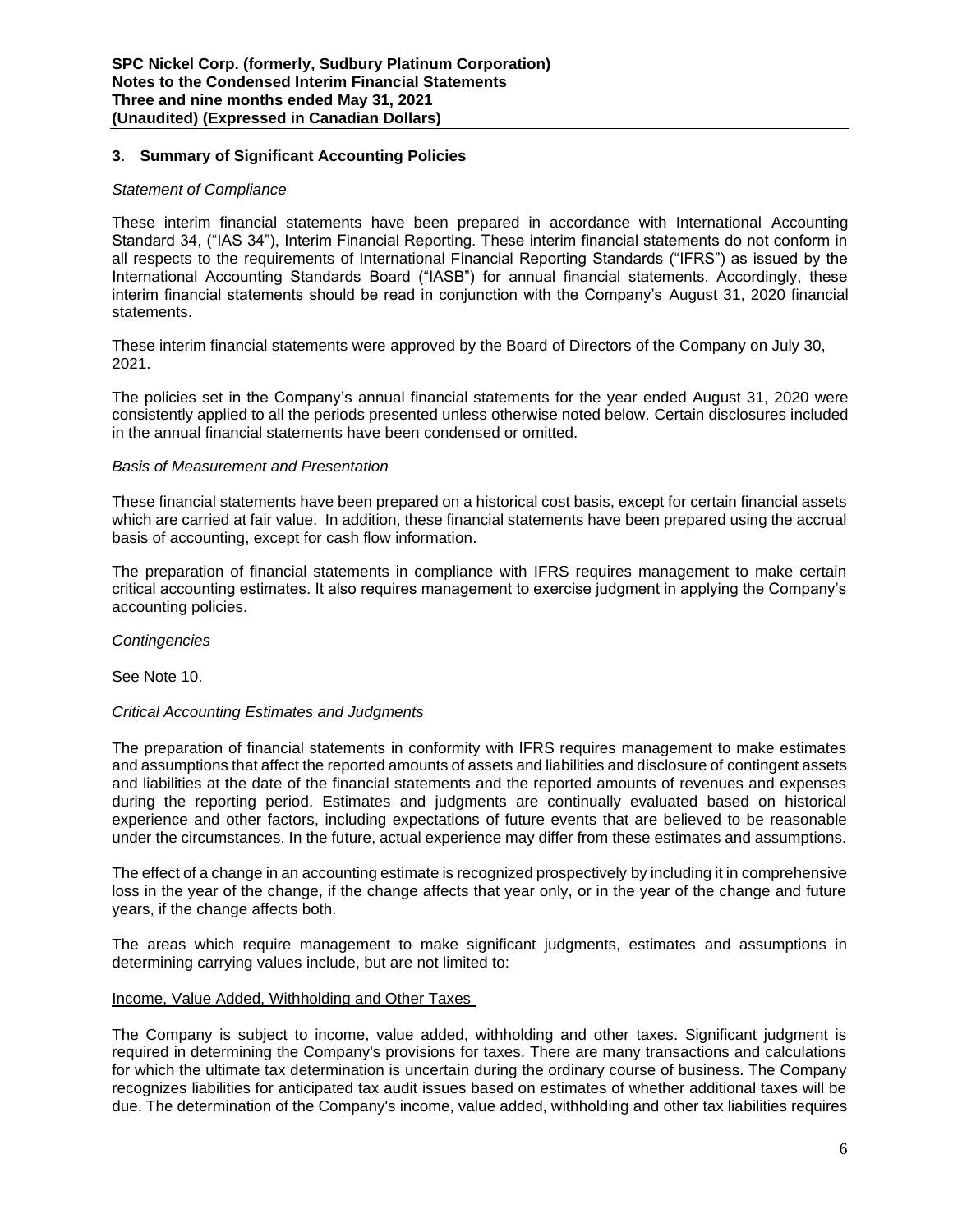# **3. Summary of Significant Accounting Policies**

# *Statement of Compliance*

These interim financial statements have been prepared in accordance with International Accounting Standard 34, ("IAS 34"), Interim Financial Reporting. These interim financial statements do not conform in all respects to the requirements of International Financial Reporting Standards ("IFRS") as issued by the International Accounting Standards Board ("IASB") for annual financial statements. Accordingly, these interim financial statements should be read in conjunction with the Company's August 31, 2020 financial statements.

These interim financial statements were approved by the Board of Directors of the Company on July 30, 2021.

The policies set in the Company's annual financial statements for the year ended August 31, 2020 were consistently applied to all the periods presented unless otherwise noted below. Certain disclosures included in the annual financial statements have been condensed or omitted.

# *Basis of Measurement and Presentation*

These financial statements have been prepared on a historical cost basis, except for certain financial assets which are carried at fair value. In addition, these financial statements have been prepared using the accrual basis of accounting, except for cash flow information.

The preparation of financial statements in compliance with IFRS requires management to make certain critical accounting estimates. It also requires management to exercise judgment in applying the Company's accounting policies.

*Contingencies* 

See Note 10.

# *Critical Accounting Estimates and Judgments*

The preparation of financial statements in conformity with IFRS requires management to make estimates and assumptions that affect the reported amounts of assets and liabilities and disclosure of contingent assets and liabilities at the date of the financial statements and the reported amounts of revenues and expenses during the reporting period. Estimates and judgments are continually evaluated based on historical experience and other factors, including expectations of future events that are believed to be reasonable under the circumstances. In the future, actual experience may differ from these estimates and assumptions.

The effect of a change in an accounting estimate is recognized prospectively by including it in comprehensive loss in the year of the change, if the change affects that year only, or in the year of the change and future years, if the change affects both.

The areas which require management to make significant judgments, estimates and assumptions in determining carrying values include, but are not limited to:

# Income, Value Added, Withholding and Other Taxes

The Company is subject to income, value added, withholding and other taxes. Significant judgment is required in determining the Company's provisions for taxes. There are many transactions and calculations for which the ultimate tax determination is uncertain during the ordinary course of business. The Company recognizes liabilities for anticipated tax audit issues based on estimates of whether additional taxes will be due. The determination of the Company's income, value added, withholding and other tax liabilities requires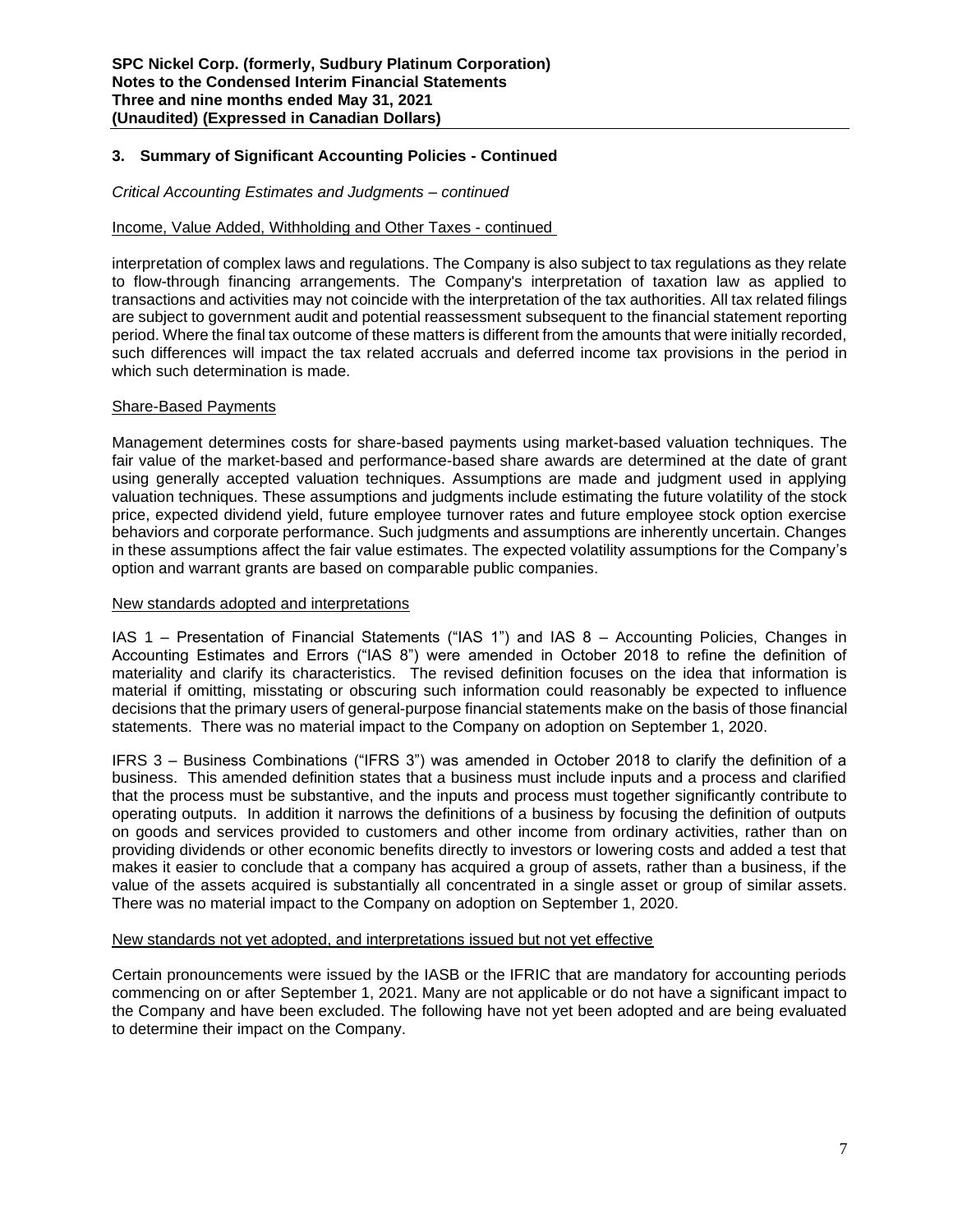# **3. Summary of Significant Accounting Policies - Continued**

#### *Critical Accounting Estimates and Judgments – continued*

# Income, Value Added, Withholding and Other Taxes - continued

interpretation of complex laws and regulations. The Company is also subject to tax regulations as they relate to flow-through financing arrangements. The Company's interpretation of taxation law as applied to transactions and activities may not coincide with the interpretation of the tax authorities. All tax related filings are subject to government audit and potential reassessment subsequent to the financial statement reporting period. Where the final tax outcome of these matters is different from the amounts that were initially recorded, such differences will impact the tax related accruals and deferred income tax provisions in the period in which such determination is made.

#### Share-Based Payments

Management determines costs for share-based payments using market-based valuation techniques. The fair value of the market-based and performance-based share awards are determined at the date of grant using generally accepted valuation techniques. Assumptions are made and judgment used in applying valuation techniques. These assumptions and judgments include estimating the future volatility of the stock price, expected dividend yield, future employee turnover rates and future employee stock option exercise behaviors and corporate performance. Such judgments and assumptions are inherently uncertain. Changes in these assumptions affect the fair value estimates. The expected volatility assumptions for the Company's option and warrant grants are based on comparable public companies.

#### New standards adopted and interpretations

IAS 1 – Presentation of Financial Statements ("IAS 1") and IAS 8 – Accounting Policies, Changes in Accounting Estimates and Errors ("IAS 8") were amended in October 2018 to refine the definition of materiality and clarify its characteristics. The revised definition focuses on the idea that information is material if omitting, misstating or obscuring such information could reasonably be expected to influence decisions that the primary users of general-purpose financial statements make on the basis of those financial statements. There was no material impact to the Company on adoption on September 1, 2020.

IFRS 3 – Business Combinations ("IFRS 3") was amended in October 2018 to clarify the definition of a business. This amended definition states that a business must include inputs and a process and clarified that the process must be substantive, and the inputs and process must together significantly contribute to operating outputs. In addition it narrows the definitions of a business by focusing the definition of outputs on goods and services provided to customers and other income from ordinary activities, rather than on providing dividends or other economic benefits directly to investors or lowering costs and added a test that makes it easier to conclude that a company has acquired a group of assets, rather than a business, if the value of the assets acquired is substantially all concentrated in a single asset or group of similar assets. There was no material impact to the Company on adoption on September 1, 2020.

#### New standards not yet adopted, and interpretations issued but not yet effective

Certain pronouncements were issued by the IASB or the IFRIC that are mandatory for accounting periods commencing on or after September 1, 2021. Many are not applicable or do not have a significant impact to the Company and have been excluded. The following have not yet been adopted and are being evaluated to determine their impact on the Company.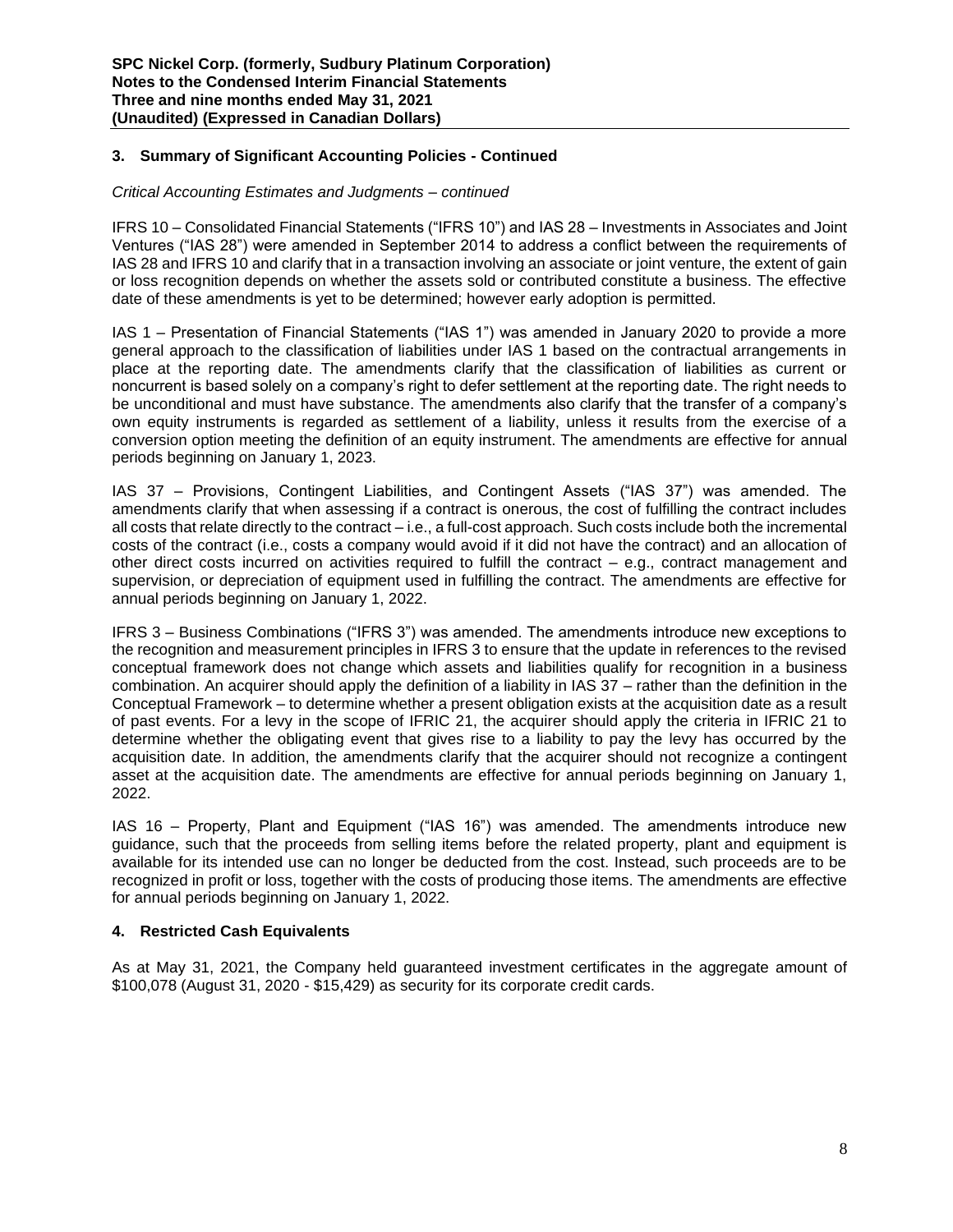# **3. Summary of Significant Accounting Policies - Continued**

#### *Critical Accounting Estimates and Judgments – continued*

IFRS 10 – Consolidated Financial Statements ("IFRS 10") and IAS 28 – Investments in Associates and Joint Ventures ("IAS 28") were amended in September 2014 to address a conflict between the requirements of IAS 28 and IFRS 10 and clarify that in a transaction involving an associate or joint venture, the extent of gain or loss recognition depends on whether the assets sold or contributed constitute a business. The effective date of these amendments is yet to be determined; however early adoption is permitted.

IAS 1 – Presentation of Financial Statements ("IAS 1") was amended in January 2020 to provide a more general approach to the classification of liabilities under IAS 1 based on the contractual arrangements in place at the reporting date. The amendments clarify that the classification of liabilities as current or noncurrent is based solely on a company's right to defer settlement at the reporting date. The right needs to be unconditional and must have substance. The amendments also clarify that the transfer of a company's own equity instruments is regarded as settlement of a liability, unless it results from the exercise of a conversion option meeting the definition of an equity instrument. The amendments are effective for annual periods beginning on January 1, 2023.

IAS 37 – Provisions, Contingent Liabilities, and Contingent Assets ("IAS 37") was amended. The amendments clarify that when assessing if a contract is onerous, the cost of fulfilling the contract includes all costs that relate directly to the contract – i.e., a full-cost approach. Such costs include both the incremental costs of the contract (i.e., costs a company would avoid if it did not have the contract) and an allocation of other direct costs incurred on activities required to fulfill the contract – e.g., contract management and supervision, or depreciation of equipment used in fulfilling the contract. The amendments are effective for annual periods beginning on January 1, 2022.

IFRS 3 – Business Combinations ("IFRS 3") was amended. The amendments introduce new exceptions to the recognition and measurement principles in IFRS 3 to ensure that the update in references to the revised conceptual framework does not change which assets and liabilities qualify for recognition in a business combination. An acquirer should apply the definition of a liability in IAS 37 – rather than the definition in the Conceptual Framework – to determine whether a present obligation exists at the acquisition date as a result of past events. For a levy in the scope of IFRIC 21, the acquirer should apply the criteria in IFRIC 21 to determine whether the obligating event that gives rise to a liability to pay the levy has occurred by the acquisition date. In addition, the amendments clarify that the acquirer should not recognize a contingent asset at the acquisition date. The amendments are effective for annual periods beginning on January 1, 2022.

IAS 16 – Property, Plant and Equipment ("IAS 16") was amended. The amendments introduce new guidance, such that the proceeds from selling items before the related property, plant and equipment is available for its intended use can no longer be deducted from the cost. Instead, such proceeds are to be recognized in profit or loss, together with the costs of producing those items. The amendments are effective for annual periods beginning on January 1, 2022.

# **4. Restricted Cash Equivalents**

As at May 31, 2021, the Company held guaranteed investment certificates in the aggregate amount of \$100,078 (August 31, 2020 - \$15,429) as security for its corporate credit cards.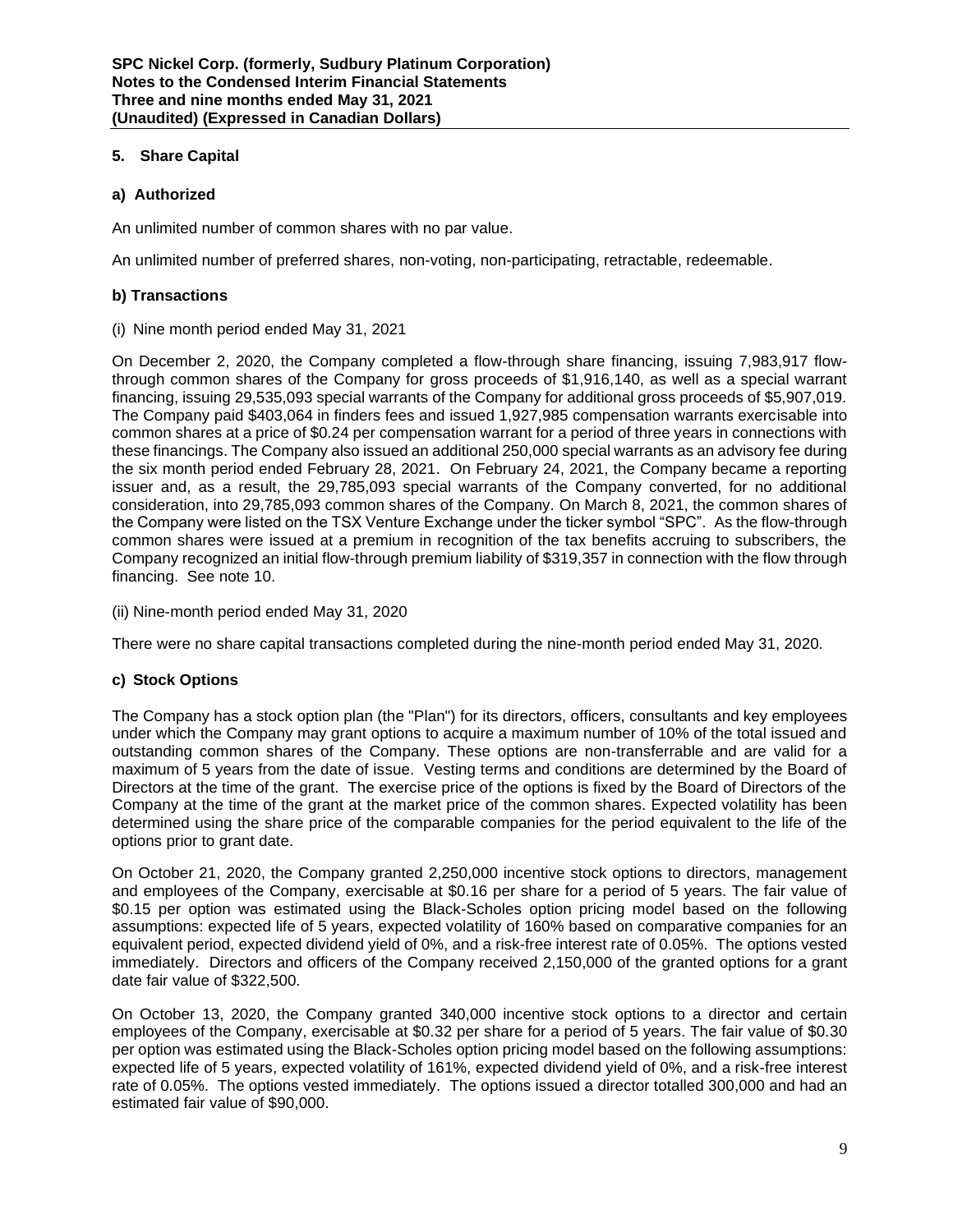# **5. Share Capital**

# **a) Authorized**

An unlimited number of common shares with no par value.

An unlimited number of preferred shares, non-voting, non-participating, retractable, redeemable.

# **b) Transactions**

(i) Nine month period ended May 31, 2021

On December 2, 2020, the Company completed a flow-through share financing, issuing 7,983,917 flowthrough common shares of the Company for gross proceeds of \$1,916,140, as well as a special warrant financing, issuing 29,535,093 special warrants of the Company for additional gross proceeds of \$5,907,019. The Company paid \$403,064 in finders fees and issued 1,927,985 compensation warrants exercisable into common shares at a price of \$0.24 per compensation warrant for a period of three years in connections with these financings. The Company also issued an additional 250,000 special warrants as an advisory fee during the six month period ended February 28, 2021. On February 24, 2021, the Company became a reporting issuer and, as a result, the 29,785,093 special warrants of the Company converted, for no additional consideration, into 29,785,093 common shares of the Company. On March 8, 2021, the common shares of the Company were listed on the TSX Venture Exchange under the ticker symbol "SPC". As the flow-through common shares were issued at a premium in recognition of the tax benefits accruing to subscribers, the Company recognized an initial flow-through premium liability of \$319,357 in connection with the flow through financing. See note 10.

(ii) Nine-month period ended May 31, 2020

There were no share capital transactions completed during the nine-month period ended May 31, 2020.

# **c) Stock Options**

The Company has a stock option plan (the "Plan") for its directors, officers, consultants and key employees under which the Company may grant options to acquire a maximum number of 10% of the total issued and outstanding common shares of the Company. These options are non-transferrable and are valid for a maximum of 5 years from the date of issue. Vesting terms and conditions are determined by the Board of Directors at the time of the grant. The exercise price of the options is fixed by the Board of Directors of the Company at the time of the grant at the market price of the common shares. Expected volatility has been determined using the share price of the comparable companies for the period equivalent to the life of the options prior to grant date.

On October 21, 2020, the Company granted 2,250,000 incentive stock options to directors, management and employees of the Company, exercisable at \$0.16 per share for a period of 5 years. The fair value of \$0.15 per option was estimated using the Black-Scholes option pricing model based on the following assumptions: expected life of 5 years, expected volatility of 160% based on comparative companies for an equivalent period, expected dividend yield of 0%, and a risk-free interest rate of 0.05%. The options vested immediately. Directors and officers of the Company received 2,150,000 of the granted options for a grant date fair value of \$322,500.

On October 13, 2020, the Company granted 340,000 incentive stock options to a director and certain employees of the Company, exercisable at \$0.32 per share for a period of 5 years. The fair value of \$0.30 per option was estimated using the Black-Scholes option pricing model based on the following assumptions: expected life of 5 years, expected volatility of 161%, expected dividend yield of 0%, and a risk-free interest rate of 0.05%. The options vested immediately. The options issued a director totalled 300,000 and had an estimated fair value of \$90,000.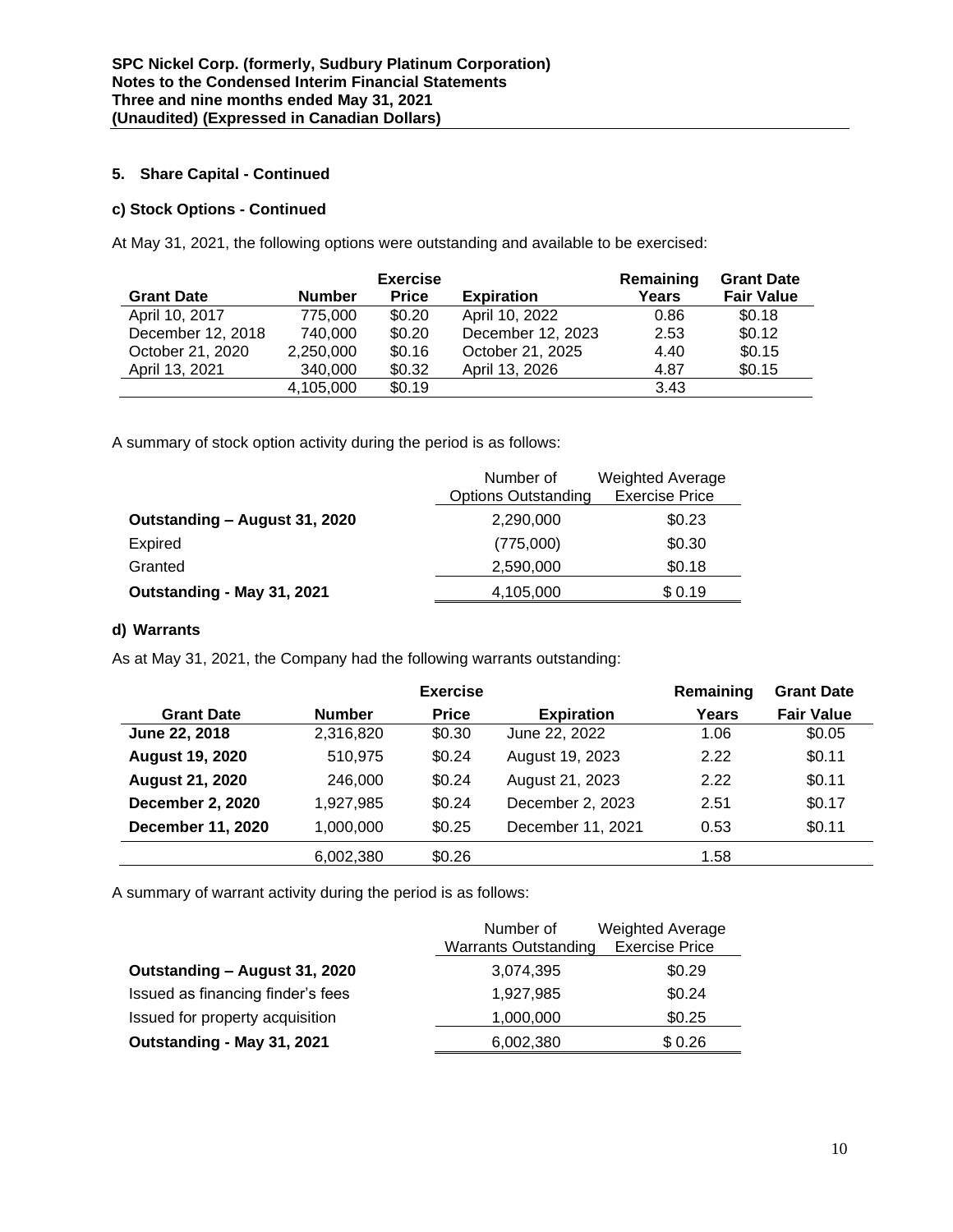# **5. Share Capital - Continued**

# **c) Stock Options - Continued**

At May 31, 2021, the following options were outstanding and available to be exercised:

|                   |               | <b>Exercise</b> |                   | Remaining | <b>Grant Date</b> |
|-------------------|---------------|-----------------|-------------------|-----------|-------------------|
| <b>Grant Date</b> | <b>Number</b> | <b>Price</b>    | <b>Expiration</b> | Years     | <b>Fair Value</b> |
| April 10, 2017    | 775.000       | \$0.20          | April 10, 2022    | 0.86      | \$0.18            |
| December 12, 2018 | 740,000       | \$0.20          | December 12, 2023 | 2.53      | \$0.12            |
| October 21, 2020  | 2,250,000     | \$0.16          | October 21, 2025  | 4.40      | \$0.15            |
| April 13, 2021    | 340,000       | \$0.32          | April 13, 2026    | 4.87      | \$0.15            |
|                   | 4,105,000     | \$0.19          |                   | 3.43      |                   |

A summary of stock option activity during the period is as follows:

|                               | Number of<br><b>Options Outstanding</b> | <b>Weighted Average</b><br><b>Exercise Price</b> |
|-------------------------------|-----------------------------------------|--------------------------------------------------|
| Outstanding - August 31, 2020 | 2,290,000                               | \$0.23                                           |
| <b>Expired</b>                | (775,000)                               | \$0.30                                           |
| Granted                       | 2,590,000                               | \$0.18                                           |
| Outstanding - May 31, 2021    | 4,105,000                               | \$0.19                                           |

# **d) Warrants**

As at May 31, 2021, the Company had the following warrants outstanding:

|                          |               | <b>Exercise</b> |                   | Remaining | <b>Grant Date</b> |
|--------------------------|---------------|-----------------|-------------------|-----------|-------------------|
| <b>Grant Date</b>        | <b>Number</b> | <b>Price</b>    | <b>Expiration</b> | Years     | <b>Fair Value</b> |
| June 22, 2018            | 2,316,820     | \$0.30          | June 22, 2022     | 1.06      | \$0.05            |
| <b>August 19, 2020</b>   | 510,975       | \$0.24          | August 19, 2023   | 2.22      | \$0.11            |
| <b>August 21, 2020</b>   | 246,000       | \$0.24          | August 21, 2023   | 2.22      | \$0.11            |
| <b>December 2, 2020</b>  | 1,927,985     | \$0.24          | December 2, 2023  | 2.51      | \$0.17            |
| <b>December 11, 2020</b> | 1,000,000     | \$0.25          | December 11, 2021 | 0.53      | \$0.11            |
|                          | 6,002,380     | \$0.26          |                   | 1.58      |                   |

A summary of warrant activity during the period is as follows:

|                                   | Number of                   | <b>Weighted Average</b> |
|-----------------------------------|-----------------------------|-------------------------|
|                                   | <b>Warrants Outstanding</b> | <b>Exercise Price</b>   |
| Outstanding - August 31, 2020     | 3,074,395                   | \$0.29                  |
| Issued as financing finder's fees | 1,927,985                   | \$0.24                  |
| Issued for property acquisition   | 1,000,000                   | \$0.25                  |
| Outstanding - May 31, 2021        | 6,002,380                   | \$0.26                  |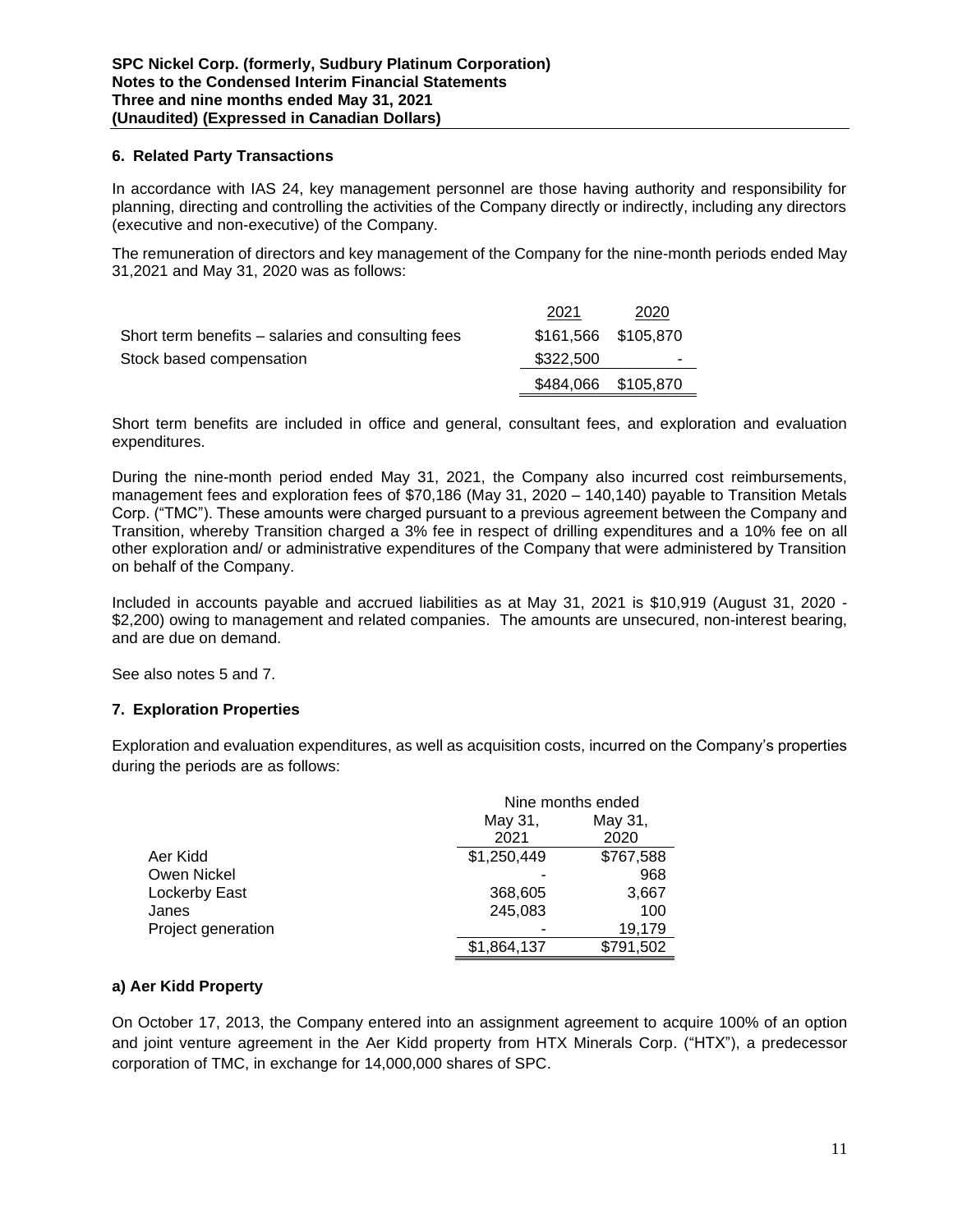# **6. Related Party Transactions**

In accordance with IAS 24, key management personnel are those having authority and responsibility for planning, directing and controlling the activities of the Company directly or indirectly, including any directors (executive and non-executive) of the Company.

The remuneration of directors and key management of the Company for the nine-month periods ended May 31,2021 and May 31, 2020 was as follows:

|                                                    | 2021      | 2020                |
|----------------------------------------------------|-----------|---------------------|
| Short term benefits – salaries and consulting fees |           | \$161,566 \$105,870 |
| Stock based compensation                           | \$322,500 |                     |
|                                                    |           | \$484,066 \$105,870 |

Short term benefits are included in office and general, consultant fees, and exploration and evaluation expenditures.

During the nine-month period ended May 31, 2021, the Company also incurred cost reimbursements, management fees and exploration fees of \$70,186 (May 31, 2020 – 140,140) payable to Transition Metals Corp. ("TMC"). These amounts were charged pursuant to a previous agreement between the Company and Transition, whereby Transition charged a 3% fee in respect of drilling expenditures and a 10% fee on all other exploration and/ or administrative expenditures of the Company that were administered by Transition on behalf of the Company.

Included in accounts payable and accrued liabilities as at May 31, 2021 is \$10,919 (August 31, 2020 - \$2,200) owing to management and related companies. The amounts are unsecured, non-interest bearing, and are due on demand.

See also notes 5 and 7.

# **7. Exploration Properties**

Exploration and evaluation expenditures, as well as acquisition costs, incurred on the Company's properties during the periods are as follows:

|                    |             | Nine months ended |  |  |
|--------------------|-------------|-------------------|--|--|
|                    | May 31,     | May 31,           |  |  |
|                    | 2021        | 2020              |  |  |
| Aer Kidd           | \$1,250,449 | \$767,588         |  |  |
| Owen Nickel        |             | 968               |  |  |
| Lockerby East      | 368,605     | 3,667             |  |  |
| Janes              | 245,083     | 100               |  |  |
| Project generation |             | 19,179            |  |  |
|                    | \$1,864,137 | \$791,502         |  |  |

# **a) Aer Kidd Property**

On October 17, 2013, the Company entered into an assignment agreement to acquire 100% of an option and joint venture agreement in the Aer Kidd property from HTX Minerals Corp. ("HTX"), a predecessor corporation of TMC, in exchange for 14,000,000 shares of SPC.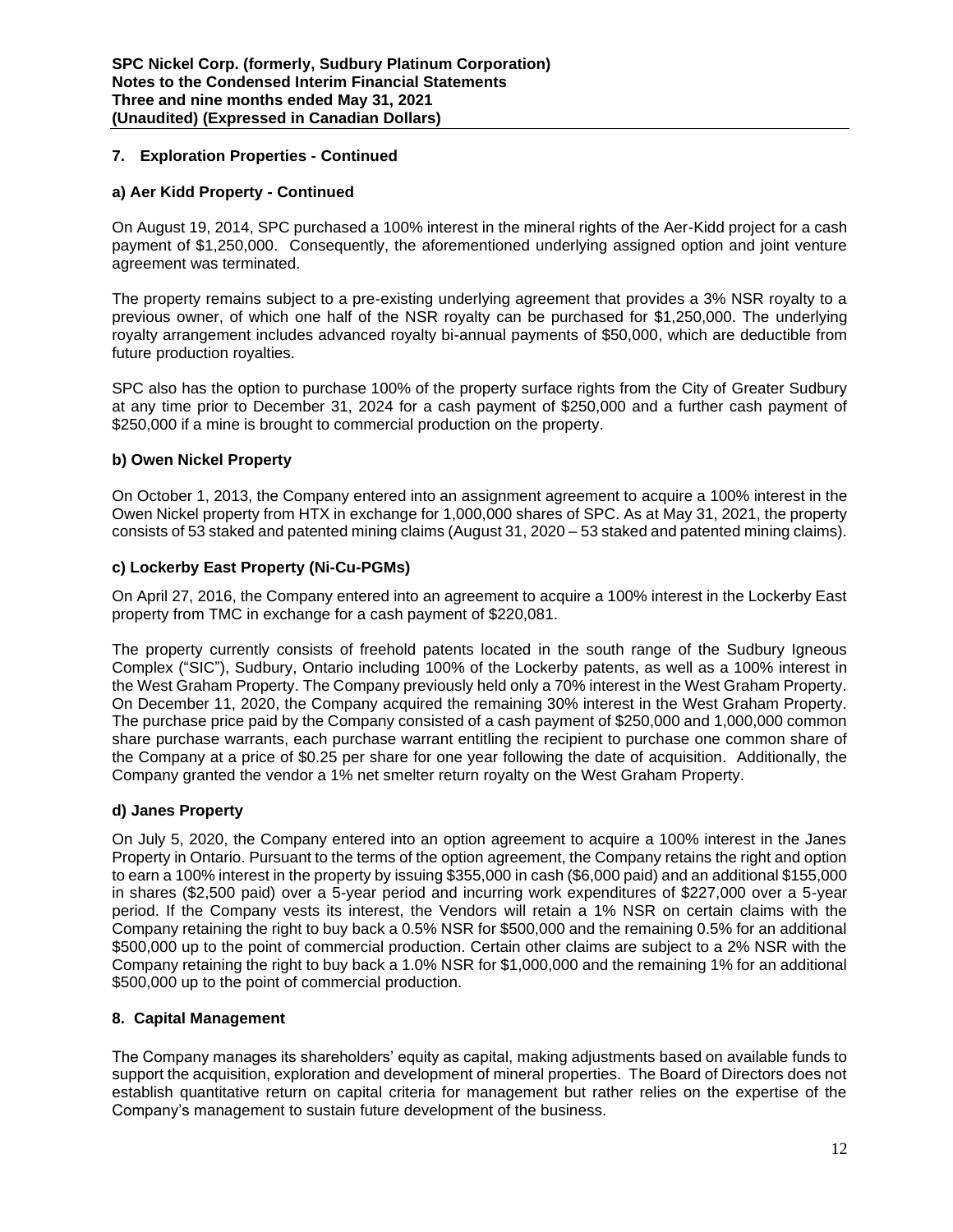# **7. Exploration Properties - Continued**

# **a) Aer Kidd Property - Continued**

On August 19, 2014, SPC purchased a 100% interest in the mineral rights of the Aer-Kidd project for a cash payment of \$1,250,000. Consequently, the aforementioned underlying assigned option and joint venture agreement was terminated.

The property remains subject to a pre-existing underlying agreement that provides a 3% NSR royalty to a previous owner, of which one half of the NSR royalty can be purchased for \$1,250,000. The underlying royalty arrangement includes advanced royalty bi-annual payments of \$50,000, which are deductible from future production royalties.

SPC also has the option to purchase 100% of the property surface rights from the City of Greater Sudbury at any time prior to December 31, 2024 for a cash payment of \$250,000 and a further cash payment of \$250,000 if a mine is brought to commercial production on the property.

# **b) Owen Nickel Property**

On October 1, 2013, the Company entered into an assignment agreement to acquire a 100% interest in the Owen Nickel property from HTX in exchange for 1,000,000 shares of SPC. As at May 31, 2021, the property consists of 53 staked and patented mining claims (August 31, 2020 – 53 staked and patented mining claims).

# **c) Lockerby East Property (Ni-Cu-PGMs)**

On April 27, 2016, the Company entered into an agreement to acquire a 100% interest in the Lockerby East property from TMC in exchange for a cash payment of \$220,081.

The property currently consists of freehold patents located in the south range of the Sudbury Igneous Complex ("SIC"), Sudbury, Ontario including 100% of the Lockerby patents, as well as a 100% interest in the West Graham Property. The Company previously held only a 70% interest in the West Graham Property. On December 11, 2020, the Company acquired the remaining 30% interest in the West Graham Property. The purchase price paid by the Company consisted of a cash payment of \$250,000 and 1,000,000 common share purchase warrants, each purchase warrant entitling the recipient to purchase one common share of the Company at a price of \$0.25 per share for one year following the date of acquisition. Additionally, the Company granted the vendor a 1% net smelter return royalty on the West Graham Property.

# **d) Janes Property**

On July 5, 2020, the Company entered into an option agreement to acquire a 100% interest in the Janes Property in Ontario. Pursuant to the terms of the option agreement, the Company retains the right and option to earn a 100% interest in the property by issuing \$355,000 in cash (\$6,000 paid) and an additional \$155,000 in shares (\$2,500 paid) over a 5-year period and incurring work expenditures of \$227,000 over a 5-year period. If the Company vests its interest, the Vendors will retain a 1% NSR on certain claims with the Company retaining the right to buy back a 0.5% NSR for \$500,000 and the remaining 0.5% for an additional \$500,000 up to the point of commercial production. Certain other claims are subject to a 2% NSR with the Company retaining the right to buy back a 1.0% NSR for \$1,000,000 and the remaining 1% for an additional \$500,000 up to the point of commercial production.

# **8. Capital Management**

The Company manages its shareholders' equity as capital, making adjustments based on available funds to support the acquisition, exploration and development of mineral properties. The Board of Directors does not establish quantitative return on capital criteria for management but rather relies on the expertise of the Company's management to sustain future development of the business.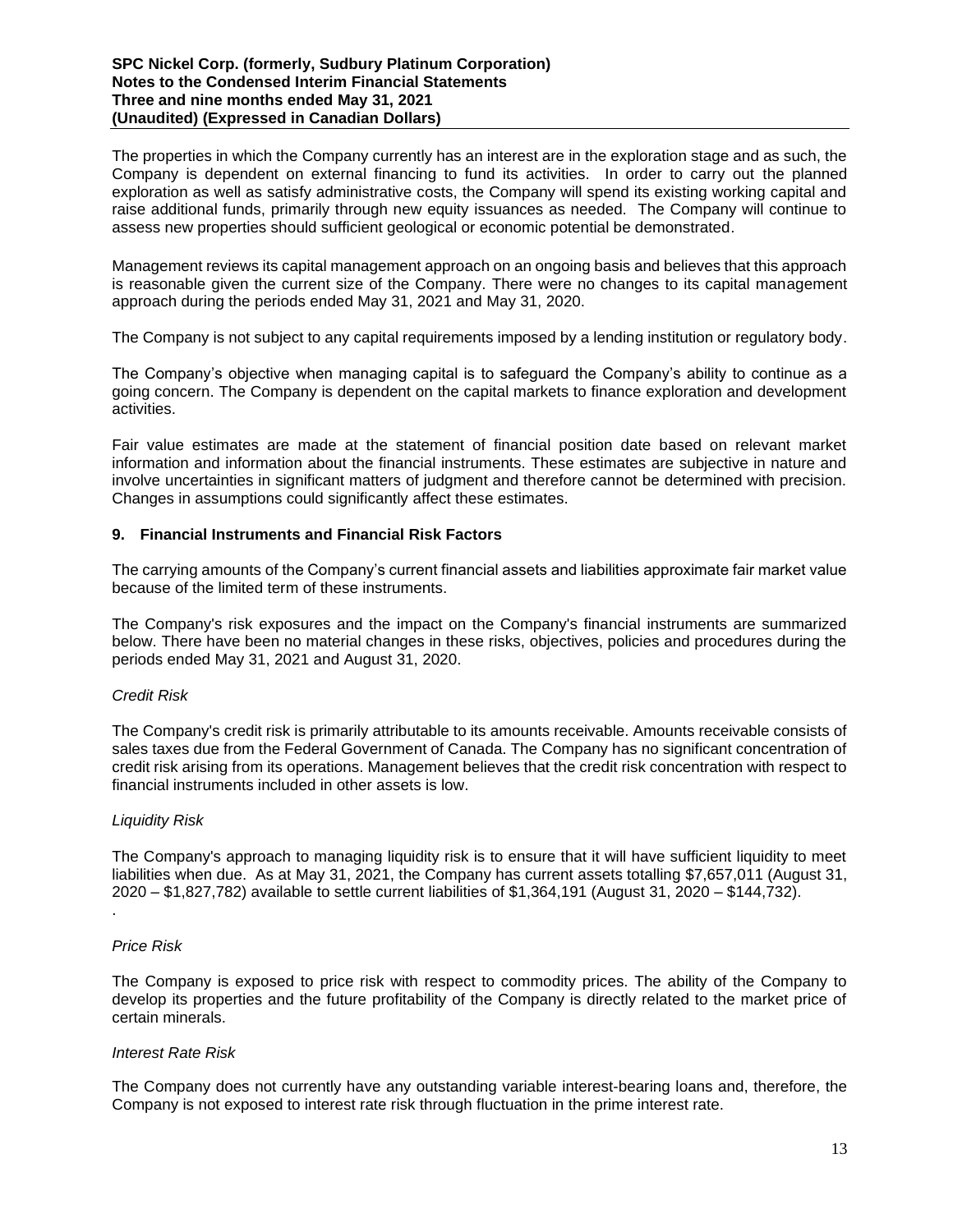The properties in which the Company currently has an interest are in the exploration stage and as such, the Company is dependent on external financing to fund its activities. In order to carry out the planned exploration as well as satisfy administrative costs, the Company will spend its existing working capital and raise additional funds, primarily through new equity issuances as needed. The Company will continue to assess new properties should sufficient geological or economic potential be demonstrated.

Management reviews its capital management approach on an ongoing basis and believes that this approach is reasonable given the current size of the Company. There were no changes to its capital management approach during the periods ended May 31, 2021 and May 31, 2020.

The Company is not subject to any capital requirements imposed by a lending institution or regulatory body.

The Company's objective when managing capital is to safeguard the Company's ability to continue as a going concern. The Company is dependent on the capital markets to finance exploration and development activities.

Fair value estimates are made at the statement of financial position date based on relevant market information and information about the financial instruments. These estimates are subjective in nature and involve uncertainties in significant matters of judgment and therefore cannot be determined with precision. Changes in assumptions could significantly affect these estimates.

# **9. Financial Instruments and Financial Risk Factors**

The carrying amounts of the Company's current financial assets and liabilities approximate fair market value because of the limited term of these instruments.

The Company's risk exposures and the impact on the Company's financial instruments are summarized below. There have been no material changes in these risks, objectives, policies and procedures during the periods ended May 31, 2021 and August 31, 2020.

# *Credit Risk*

The Company's credit risk is primarily attributable to its amounts receivable. Amounts receivable consists of sales taxes due from the Federal Government of Canada. The Company has no significant concentration of credit risk arising from its operations. Management believes that the credit risk concentration with respect to financial instruments included in other assets is low.

#### *Liquidity Risk*

The Company's approach to managing liquidity risk is to ensure that it will have sufficient liquidity to meet liabilities when due. As at May 31, 2021, the Company has current assets totalling \$7,657,011 (August 31, 2020 – \$1,827,782) available to settle current liabilities of \$1,364,191 (August 31, 2020 – \$144,732).

#### *Price Risk*

.

The Company is exposed to price risk with respect to commodity prices. The ability of the Company to develop its properties and the future profitability of the Company is directly related to the market price of certain minerals.

#### *Interest Rate Risk*

The Company does not currently have any outstanding variable interest-bearing loans and, therefore, the Company is not exposed to interest rate risk through fluctuation in the prime interest rate.